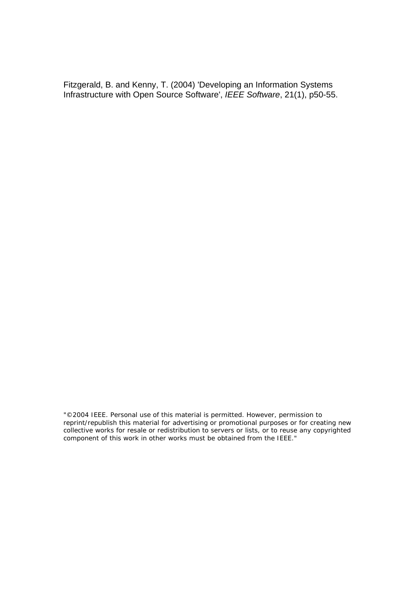Fitzgerald, B. and Kenny, T. (2004) 'Developing an Information Systems Infrastructure with Open Source Software', *IEEE Software*, 21(1), p50-55.

"©2004 IEEE. Personal use of this material is permitted. However, permission to reprint/republish this material for advertising or promotional purposes or for creating new collective works for resale or redistribution to servers or lists, or to reuse any copyrighted component of this work in other works must be obtained from the IEEE."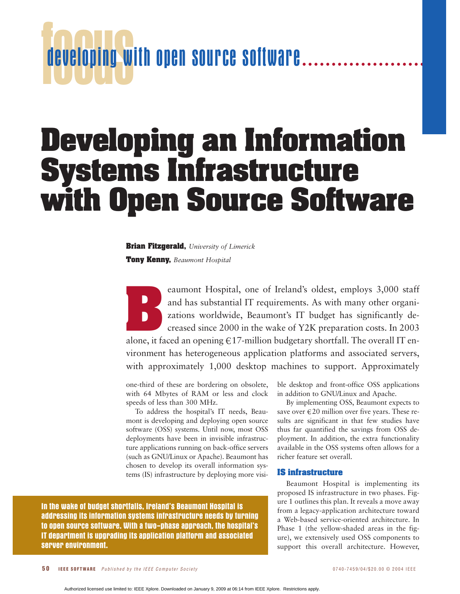# focus developing with open source software

# **Developing an Information Systems Infrastructure with Open Source Software**

**Brian Fitzgerald,** *University of Limerick* **Tony Kenny,** *Beaumont Hospital*

**Beaumont Hospital, one of Ireland's oldest, employs 3,000 staff and has substantial IT requirements. As with many other organizations worldwide, Beaumont's IT budget has significantly decreased since 2000 in the wake of Y** and has substantial IT requirements. As with many other organizations worldwide, Beaumont's IT budget has significantly decreased since 2000 in the wake of Y2K preparation costs. In 2003 alone, it faced an opening  $\epsilon$ 17-million budgetary shortfall. The overall IT environment has heterogeneous application platforms and associated servers, with approximately 1,000 desktop machines to support. Approximately

one-third of these are bordering on obsolete, with 64 Mbytes of RAM or less and clock speeds of less than 300 MHz.

To address the hospital's IT needs, Beaumont is developing and deploying open source software (OSS) systems. Until now, most OSS deployments have been in invisible infrastructure applications running on back-office servers (such as GNU/Linux or Apache). Beaumont has chosen to develop its overall information systems (IS) infrastructure by deploying more visi-

**In the wake of budget shortfalls, Ireland's Beaumont Hospital is addressing its information systems infrastructure needs by turning to open source software. With a two-phase approach, the hospital's IT department is upgrading its application platform and associated server environment.**

ble desktop and front-office OSS applications in addition to GNU/Linux and Apache.

By implementing OSS, Beaumont expects to save over  $\in$  20 million over five years. These results are significant in that few studies have thus far quantified the savings from OSS deployment. In addition, the extra functionality available in the OSS systems often allows for a richer feature set overall.

#### **IS infrastructure**

Beaumont Hospital is implementing its proposed IS infrastructure in two phases. Figure 1 outlines this plan. It reveals a move away from a legacy-application architecture toward a Web-based service-oriented architecture. In Phase 1 (the yellow-shaded areas in the figure), we extensively used OSS components to support this overall architecture. However,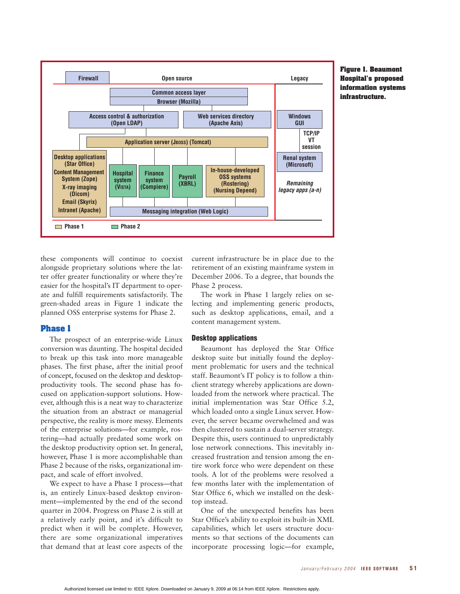

#### **Figure 1. Beaumont Hospital's proposed information systems infrastructure.**

these components will continue to coexist alongside proprietary solutions where the latter offer greater functionality or where they're easier for the hospital's IT department to operate and fulfill requirements satisfactorily. The green-shaded areas in Figure 1 indicate the planned OSS enterprise systems for Phase 2.

#### **Phase 1**

The prospect of an enterprise-wide Linux conversion was daunting. The hospital decided to break up this task into more manageable phases. The first phase, after the initial proof of concept, focused on the desktop and desktopproductivity tools. The second phase has focused on application-support solutions. However, although this is a neat way to characterize the situation from an abstract or managerial perspective, the reality is more messy. Elements of the enterprise solutions—for example, rostering—had actually predated some work on the desktop productivity option set. In general, however, Phase 1 is more accomplishable than Phase 2 because of the risks, organizational impact, and scale of effort involved.

We expect to have a Phase 1 process—that is, an entirely Linux-based desktop environment—implemented by the end of the second quarter in 2004. Progress on Phase 2 is still at a relatively early point, and it's difficult to predict when it will be complete. However, there are some organizational imperatives that demand that at least core aspects of the

current infrastructure be in place due to the retirement of an existing mainframe system in December 2006. To a degree, that bounds the Phase 2 process.

The work in Phase 1 largely relies on selecting and implementing generic products, such as desktop applications, email, and a content management system.

#### **Desktop applications**

Beaumont has deployed the Star Office desktop suite but initially found the deployment problematic for users and the technical staff. Beaumont's IT policy is to follow a thinclient strategy whereby applications are downloaded from the network where practical. The initial implementation was Star Office 5.2, which loaded onto a single Linux server. However, the server became overwhelmed and was then clustered to sustain a dual-server strategy. Despite this, users continued to unpredictably lose network connections. This inevitably increased frustration and tension among the entire work force who were dependent on these tools. A lot of the problems were resolved a few months later with the implementation of Star Office 6, which we installed on the desktop instead.

One of the unexpected benefits has been Star Office's ability to exploit its built-in XML capabilities, which let users structure documents so that sections of the documents can incorporate processing logic—for example,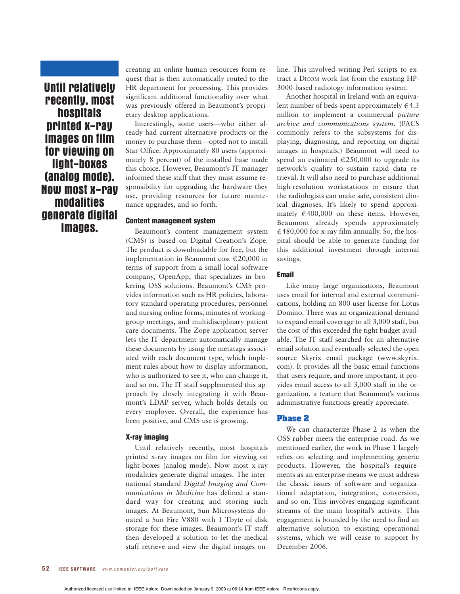**Until relatively recently, most hospitals printed x-ray images on film for viewing on light-boxes (analog mode). Now most x-ray modalities generate digital images.**

creating an online human resources form request that is then automatically routed to the HR department for processing. This provides significant additional functionality over what was previously offered in Beaumont's proprietary desktop applications.

Interestingly, some users—who either already had current alternative products or the money to purchase them—opted not to install Star Office. Approximately 80 users (approximately 8 percent) of the installed base made this choice. However, Beaumont's IT manager informed these staff that they must assume responsibility for upgrading the hardware they use, providing resources for future maintenance upgrades, and so forth.

#### **Content management system**

Beaumont's content management system (CMS) is based on Digital Creation's Zope. The product is downloadable for free, but the implementation in Beaumont cost  $\in$  20,000 in terms of support from a small local software company, OpenApp, that specializes in brokering OSS solutions. Beaumont's CMS provides information such as HR policies, laboratory standard operating procedures, personnel and nursing online forms, minutes of workinggroup meetings, and multidisciplinary patient care documents. The Zope application server lets the IT department automatically manage these documents by using the metatags associated with each document type, which implement rules about how to display information, who is authorized to see it, who can change it, and so on. The IT staff supplemented this approach by closely integrating it with Beaumont's LDAP server, which holds details on every employee. Overall, the experience has been positive, and CMS use is growing.

#### **X-ray imaging**

Until relatively recently, most hospitals printed x-ray images on film for viewing on light-boxes (analog mode). Now most x-ray modalities generate digital images. The international standard *Digital Imaging and Communications in Medicine* has defined a standard way for creating and storing such images. At Beaumont, Sun Microsystems donated a Sun Fire V880 with 1 Tbyte of disk storage for these images. Beaumont's IT staff then developed a solution to let the medical staff retrieve and view the digital images online. This involved writing Perl scripts to extract a DICOM work list from the existing HP-3000-based radiology information system.

Another hospital in Ireland with an equivalent number of beds spent approximately  $\in$  4.3 million to implement a commercial *picture archive and communications system*. (PACS commonly refers to the subsystems for displaying, diagnosing, and reporting on digital images in hospitals.) Beaumont will need to spend an estimated  $\in$  250,000 to upgrade its network's quality to sustain rapid data retrieval. It will also need to purchase additional high-resolution workstations to ensure that the radiologists can make safe, consistent clinical diagnoses. It's likely to spend approximately  $\in$  400,000 on these items. However, Beaumont already spends approximately  $\in$  480,000 for x-ray film annually. So, the hospital should be able to generate funding for this additional investment through internal savings.

#### **Email**

Like many large organizations, Beaumont uses email for internal and external communications, holding an 800-user license for Lotus Domino. There was an organizational demand to expand email coverage to all 3,000 staff, but the cost of this exceeded the tight budget available. The IT staff searched for an alternative email solution and eventually selected the open source Skyrix email package (www.skyrix. com). It provides all the basic email functions that users require, and more important, it provides email access to all 3,000 staff in the organization, a feature that Beaumont's various administrative functions greatly appreciate.

#### **Phase 2**

We can characterize Phase 2 as when the OSS rubber meets the enterprise road. As we mentioned earlier, the work in Phase 1 largely relies on selecting and implementing generic products. However, the hospital's requirements as an enterprise means we must address the classic issues of software and organizational adaptation, integration, conversion, and so on. This involves engaging significant streams of the main hospital's activity. This engagement is bounded by the need to find an alternative solution to existing operational systems, which we will cease to support by December 2006.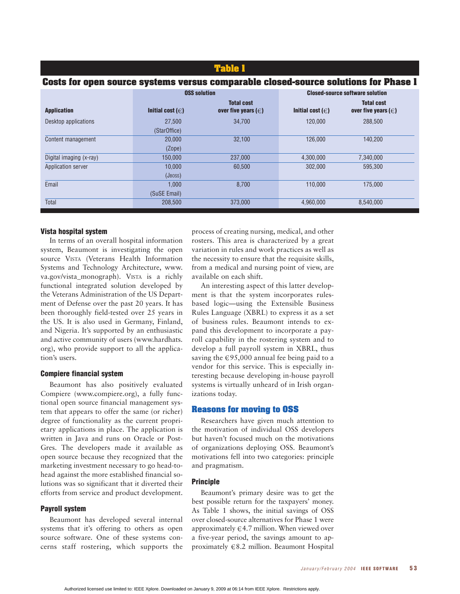## **Table 1**

### **Costs for open source systems versus comparable closed-source solutions for Phase 1**

|                         | <b>OSS solution</b>     |                                              | <b>Closed-source software solution</b> |                                              |
|-------------------------|-------------------------|----------------------------------------------|----------------------------------------|----------------------------------------------|
| <b>Application</b>      | Initial cost $(\in)$    | <b>Total cost</b><br>over five years $(\in)$ | Initial cost $(\in)$                   | <b>Total cost</b><br>over five years $(\in)$ |
| Desktop applications    | 27,500<br>(StarOffice)  | 34.700                                       | 120.000                                | 288,500                                      |
| Content management      | 20,000<br>(Zope)        | 32,100                                       | 126,000                                | 140.200                                      |
| Digital imaging (x-ray) | 150,000                 | 237,000                                      | 4.300.000                              | 7,340,000                                    |
| Application server      | 10,000<br>$(J$ BOSS $)$ | 60,500                                       | 302,000                                | 595,300                                      |
| Email                   | 1.000<br>(SuSE Email)   | 8.700                                        | 110.000                                | 175,000                                      |
| Total                   | 208,500                 | 373,000                                      | 4,960,000                              | 8,540,000                                    |

#### **Vista hospital system**

In terms of an overall hospital information system, Beaumont is investigating the open source VISTA (Veterans Health Information Systems and Technology Architecture, www. va.gov/vista\_monograph). VISTA is a richly functional integrated solution developed by the Veterans Administration of the US Department of Defense over the past 20 years. It has been thoroughly field-tested over 25 years in the US. It is also used in Germany, Finland, and Nigeria. It's supported by an enthusiastic and active community of users (www.hardhats. org), who provide support to all the application's users.

#### **Compiere financial system**

Beaumont has also positively evaluated Compiere (www.compiere.org), a fully functional open source financial management system that appears to offer the same (or richer) degree of functionality as the current proprietary applications in place. The application is written in Java and runs on Oracle or Post-Gres. The developers made it available as open source because they recognized that the marketing investment necessary to go head-tohead against the more established financial solutions was so significant that it diverted their efforts from service and product development.

#### **Payroll system**

Beaumont has developed several internal systems that it's offering to others as open source software. One of these systems concerns staff rostering, which supports the process of creating nursing, medical, and other rosters. This area is characterized by a great variation in rules and work practices as well as the necessity to ensure that the requisite skills, from a medical and nursing point of view, are available on each shift.

An interesting aspect of this latter development is that the system incorporates rulesbased logic—using the Extensible Business Rules Language (XBRL) to express it as a set of business rules. Beaumont intends to expand this development to incorporate a payroll capability in the rostering system and to develop a full payroll system in XBRL, thus saving the  $\in$  95,000 annual fee being paid to a vendor for this service. This is especially interesting because developing in-house payroll systems is virtually unheard of in Irish organizations today.

#### **Reasons for moving to OSS**

Researchers have given much attention to the motivation of individual OSS developers but haven't focused much on the motivations of organizations deploying OSS. Beaumont's motivations fell into two categories: principle and pragmatism.

#### **Principle**

Beaumont's primary desire was to get the best possible return for the taxpayers' money. As Table 1 shows, the initial savings of OSS over closed-source alternatives for Phase 1 were approximately  $\in$  4.7 million. When viewed over a five-year period, the savings amount to approximately  $\in$ 8.2 million. Beaumont Hospital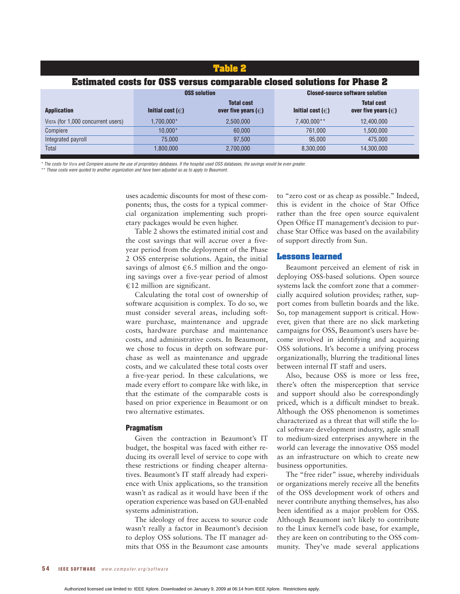# **Table 2**

### **Estimated costs for OSS versus comparable closed solutions for Phase 2**

|                                    | <b>OSS solution</b>  |                                              | <b>Closed-source software solution</b> |                                              |
|------------------------------------|----------------------|----------------------------------------------|----------------------------------------|----------------------------------------------|
| <b>Application</b>                 | Initial cost $(\in)$ | <b>Total cost</b><br>over five years $(\in)$ | Initial cost $(\in)$                   | <b>Total cost</b><br>over five years $(\in)$ |
| VISTA (for 1,000 concurrent users) | $1.700.000*$         | 2.500.000                                    | 7.400.000**                            | 12.400.000                                   |
| Compiere                           | 10.000*              | 60,000                                       | 761.000                                | 1,500,000                                    |
| Integrated payroll                 | 75,000               | 97.500                                       | 95,000                                 | 475,000                                      |
| Total                              | 000,000,00           | 2,700,000                                    | 8,300,000                              | 14,300,000                                   |

*\* The costs for VISTA and Compiere assume the use of proprietary databases. If the hospital used OSS databases, the savings would be even greater.*

*\*\* These costs were quoted to another organization and have been adjusted so as to apply to Beaumont.*

uses academic discounts for most of these components; thus, the costs for a typical commercial organization implementing such proprietary packages would be even higher.

Table 2 shows the estimated initial cost and the cost savings that will accrue over a fiveyear period from the deployment of the Phase 2 OSS enterprise solutions. Again, the initial savings of almost  $\epsilon$ 6.5 million and the ongoing savings over a five-year period of almost  $£12$  million are significant.

Calculating the total cost of ownership of software acquisition is complex. To do so, we must consider several areas, including software purchase, maintenance and upgrade costs, hardware purchase and maintenance costs, and administrative costs. In Beaumont, we chose to focus in depth on software purchase as well as maintenance and upgrade costs, and we calculated these total costs over a five-year period. In these calculations, we made every effort to compare like with like, in that the estimate of the comparable costs is based on prior experience in Beaumont or on two alternative estimates.

#### **Pragmatism**

Given the contraction in Beaumont's IT budget, the hospital was faced with either reducing its overall level of service to cope with these restrictions or finding cheaper alternatives. Beaumont's IT staff already had experience with Unix applications, so the transition wasn't as radical as it would have been if the operation experience was based on GUI-enabled systems administration.

The ideology of free access to source code wasn't really a factor in Beaumont's decision to deploy OSS solutions. The IT manager admits that OSS in the Beaumont case amounts to "zero cost or as cheap as possible." Indeed, this is evident in the choice of Star Office rather than the free open source equivalent Open Office IT management's decision to purchase Star Office was based on the availability of support directly from Sun.

#### **Lessons learned**

Beaumont perceived an element of risk in deploying OSS-based solutions. Open source systems lack the comfort zone that a commercially acquired solution provides; rather, support comes from bulletin boards and the like. So, top management support is critical. However, given that there are no slick marketing campaigns for OSS, Beaumont's users have become involved in identifying and acquiring OSS solutions. It's become a unifying process organizationally, blurring the traditional lines between internal IT staff and users.

Also, because OSS is more or less free, there's often the misperception that service and support should also be correspondingly priced, which is a difficult mindset to break. Although the OSS phenomenon is sometimes characterized as a threat that will stifle the local software development industry, agile small to medium-sized enterprises anywhere in the world can leverage the innovative OSS model as an infrastructure on which to create new business opportunities.

The "free rider" issue, whereby individuals or organizations merely receive all the benefits of the OSS development work of others and never contribute anything themselves, has also been identified as a major problem for OSS. Although Beaumont isn't likely to contribute to the Linux kernel's code base, for example, they are keen on contributing to the OSS community. They've made several applications